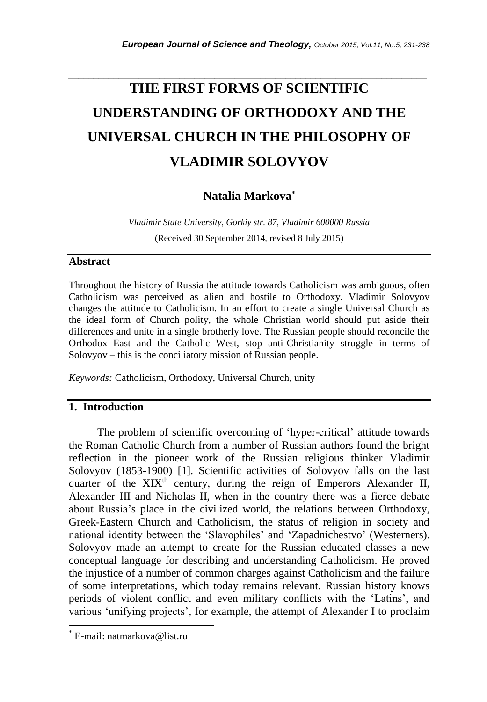# **THE FIRST FORMS OF SCIENTIFIC UNDERSTANDING OF ORTHODOXY AND THE UNIVERSAL CHURCH IN THE PHILOSOPHY OF VLADIMIR SOLOVYOV**

*\_\_\_\_\_\_\_\_\_\_\_\_\_\_\_\_\_\_\_\_\_\_\_\_\_\_\_\_\_\_\_\_\_\_\_\_\_\_\_\_\_\_\_\_\_\_\_\_\_\_\_\_\_\_\_\_\_\_\_\_\_\_\_\_\_\_\_\_\_\_\_*

## **Natalia Markova\***

*Vladimir State University, Gorkiy str. 87, Vladimir 600000 Russia* (Received 30 September 2014, revised 8 July 2015)

### **Abstract**

Throughout the history of Russia the attitude towards Catholicism was ambiguous, often Catholicism was perceived as alien and hostile to Orthodoxy. Vladimir Solovyov changes the attitude to Catholicism. In an effort to create a single Universal Church as the ideal form of Church polity, the whole Christian world should put aside their differences and unite in a single brotherly love. The Russian people should reconcile the Orthodox East and the Catholic West, stop anti-Christianity struggle in terms of Solovyov – this is the conciliatory mission of Russian people.

*Keywords:* Catholicism, Orthodoxy, Universal Church, unity

### **1. Introduction**

The problem of scientific overcoming of 'hyper-critical' attitude towards the Roman Catholic Church from a number of Russian authors found the bright reflection in the pioneer work of the Russian religious thinker Vladimir Solovyov (1853-1900) [1]. Scientific activities of Solovyov falls on the last quarter of the  $XIX<sup>th</sup>$  century, during the reign of Emperors Alexander II, Alexander III and Nicholas II, when in the country there was a fierce debate about Russia"s place in the civilized world, the relations between Orthodoxy, Greek-Eastern Church and Catholicism, the status of religion in society and national identity between the "Slavophiles" and "Zapadnichestvo" (Westerners). Solovyov made an attempt to create for the Russian educated classes a new conceptual language for describing and understanding Catholicism. He proved the injustice of a number of common charges against Catholicism and the failure of some interpretations, which today remains relevant. Russian history knows periods of violent conflict and even military conflicts with the "Latins", and various 'unifying projects', for example, the attempt of Alexander I to proclaim

l

E-mail: natmarkova@list.ru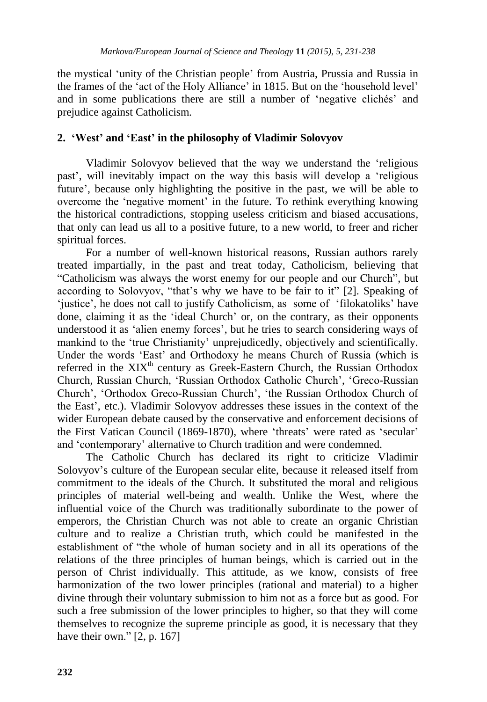the mystical "unity of the Christian people" from Austria, Prussia and Russia in the frames of the 'act of the Holy Alliance' in 1815. But on the 'household level' and in some publications there are still a number of "negative clichés" and prejudice against Catholicism.

## **2. 'West' and 'East' in the philosophy of Vladimir Solovyov**

Vladimir Solovyov believed that the way we understand the "religious past", will inevitably impact on the way this basis will develop a "religious future", because only highlighting the positive in the past, we will be able to overcome the "negative moment" in the future. To rethink everything knowing the historical contradictions, stopping useless criticism and biased accusations, that only can lead us all to a positive future, to a new world, to freer and richer spiritual forces.

For a number of well-known historical reasons, Russian authors rarely treated impartially, in the past and treat today, Catholicism, believing that "Catholicism was always the worst enemy for our people and our Church", but according to Solovyov, "that's why we have to be fair to it" [2]. Speaking of 'justice', he does not call to justify Catholicism, as some of 'filokatoliks' have done, claiming it as the "ideal Church" or, on the contrary, as their opponents understood it as 'alien enemy forces', but he tries to search considering ways of mankind to the "true Christianity" unprejudicedly, objectively and scientifically. Under the words "East" and Orthodoxy he means Church of Russia (which is referred in the XIX<sup>th</sup> century as Greek-Eastern Church, the Russian Orthodox Church, Russian Church, "Russian Orthodox Catholic Church", "Greco-Russian Church", "Orthodox Greco-Russian Church", "the Russian Orthodox Church of the East", etc.). Vladimir Solovyov addresses these issues in the context of the wider European debate caused by the conservative and enforcement decisions of the First Vatican Council (1869-1870), where 'threats' were rated as 'secular' and "contemporary" alternative to Church tradition and were condemned.

The Catholic Church has declared its right to criticize Vladimir Solovyov's culture of the European secular elite, because it released itself from commitment to the ideals of the Church. It substituted the moral and religious principles of material well-being and wealth. Unlike the West, where the influential voice of the Church was traditionally subordinate to the power of emperors, the Christian Church was not able to create an organic Christian culture and to realize a Christian truth, which could be manifested in the establishment of "the whole of human society and in all its operations of the relations of the three principles of human beings, which is carried out in the person of Christ individually. This attitude, as we know, consists of free harmonization of the two lower principles (rational and material) to a higher divine through their voluntary submission to him not as a force but as good. For such a free submission of the lower principles to higher, so that they will come themselves to recognize the supreme principle as good, it is necessary that they have their own." [2, p. 167]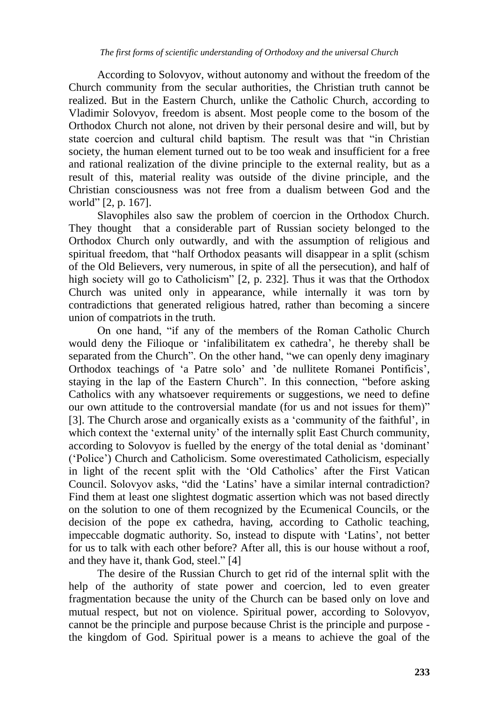According to Solovyov, without autonomy and without the freedom of the Church community from the secular authorities, the Christian truth cannot be realized. But in the Eastern Church, unlike the Catholic Church, according to Vladimir Solovyov, freedom is absent. Most people come to the bosom of the Orthodox Church not alone, not driven by their personal desire and will, but by state coercion and cultural child baptism. The result was that "in Christian society, the human element turned out to be too weak and insufficient for a free and rational realization of the divine principle to the external reality, but as a result of this, material reality was outside of the divine principle, and the Christian consciousness was not free from a dualism between God and the world" [2, p. 167].

Slavophiles also saw the problem of coercion in the Orthodox Church. They thought that a considerable part of Russian society belonged to the Orthodox Church only outwardly, and with the assumption of religious and spiritual freedom, that "half Orthodox peasants will disappear in a split (schism of the Old Believers, very numerous, in spite of all the persecution), and half of high society will go to Catholicism" [2, p. 232]. Thus it was that the Orthodox Church was united only in appearance, while internally it was torn by contradictions that generated religious hatred, rather than becoming a sincere union of compatriots in the truth.

On one hand, "if any of the members of the Roman Catholic Church would deny the Filioque or "infalibilitatem ex cathedra", he thereby shall be separated from the Church". On the other hand, "we can openly deny imaginary Orthodox teachings of "a Patre solo" and "de nullitete Romanei Pontificis", staying in the lap of the Eastern Church". In this connection, "before asking Catholics with any whatsoever requirements or suggestions, we need to define our own attitude to the controversial mandate (for us and not issues for them)" [3]. The Church arose and organically exists as a "community of the faithful", in which context the 'external unity' of the internally split East Church community, according to Solovyov is fuelled by the energy of the total denial as "dominant" ("Police") Church and Catholicism. Some overestimated Catholicism, especially in light of the recent split with the "Old Catholics" after the First Vatican Council. Solovyov asks, "did the "Latins" have a similar internal contradiction? Find them at least one slightest dogmatic assertion which was not based directly on the solution to one of them recognized by the Ecumenical Councils, or the decision of the pope ex cathedra, having, according to Catholic teaching, impeccable dogmatic authority. So, instead to dispute with "Latins", not better for us to talk with each other before? After all, this is our house without a roof, and they have it, thank God, steel." [4]

The desire of the Russian Church to get rid of the internal split with the help of the authority of state power and coercion, led to even greater fragmentation because the unity of the Church can be based only on love and mutual respect, but not on violence. Spiritual power, according to Solovyov, cannot be the principle and purpose because Christ is the principle and purpose the kingdom of God. Spiritual power is a means to achieve the goal of the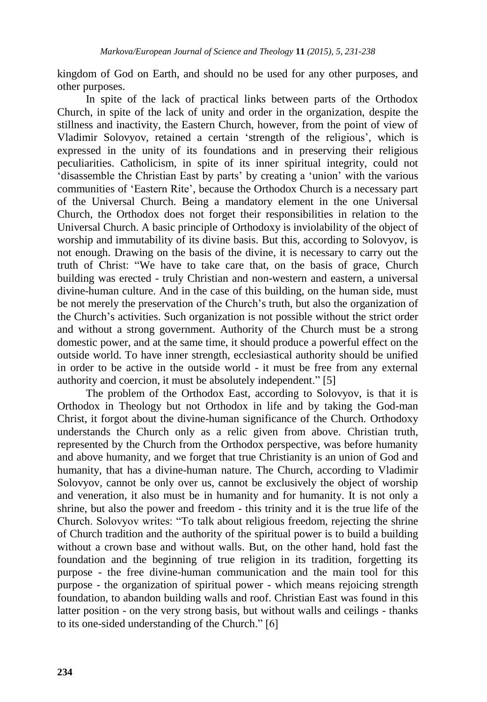kingdom of God on Earth, and should no be used for any other purposes, and other purposes.

In spite of the lack of practical links between parts of the Orthodox Church, in spite of the lack of unity and order in the organization, despite the stillness and inactivity, the Eastern Church, however, from the point of view of Vladimir Solovyov, retained a certain 'strength of the religious', which is expressed in the unity of its foundations and in preserving their religious peculiarities. Catholicism, in spite of its inner spiritual integrity, could not "disassemble the Christian East by parts" by creating a "union" with the various communities of "Eastern Rite", because the Orthodox Church is a necessary part of the Universal Church. Being a mandatory element in the one Universal Church, the Orthodox does not forget their responsibilities in relation to the Universal Church. A basic principle of Orthodoxy is inviolability of the object of worship and immutability of its divine basis. But this, according to Solovyov, is not enough. Drawing on the basis of the divine, it is necessary to carry out the truth of Christ: "We have to take care that, on the basis of grace, Church building was erected - truly Christian and non-western and eastern, a universal divine-human culture. And in the case of this building, on the human side, must be not merely the preservation of the Church"s truth, but also the organization of the Church"s activities. Such organization is not possible without the strict order and without a strong government. Authority of the Church must be a strong domestic power, and at the same time, it should produce a powerful effect on the outside world. To have inner strength, ecclesiastical authority should be unified in order to be active in the outside world - it must be free from any external authority and coercion, it must be absolutely independent." [5]

The problem of the Orthodox East, according to Solovyov, is that it is Orthodox in Theology but not Orthodox in life and by taking the God-man Christ, it forgot about the divine-human significance of the Church. Orthodoxy understands the Church only as a relic given from above. Christian truth, represented by the Church from the Orthodox perspective, was before humanity and above humanity, and we forget that true Christianity is an union of God and humanity, that has a divine-human nature. The Church, according to Vladimir Solovyov, cannot be only over us, cannot be exclusively the object of worship and veneration, it also must be in humanity and for humanity. It is not only a shrine, but also the power and freedom - this trinity and it is the true life of the Church. Solovyov writes: "To talk about religious freedom, rejecting the shrine of Church tradition and the authority of the spiritual power is to build a building without a crown base and without walls. But, on the other hand, hold fast the foundation and the beginning of true religion in its tradition, forgetting its purpose - the free divine-human communication and the main tool for this purpose - the organization of spiritual power - which means rejoicing strength foundation, to abandon building walls and roof. Christian East was found in this latter position - on the very strong basis, but without walls and ceilings - thanks to its one-sided understanding of the Church." [6]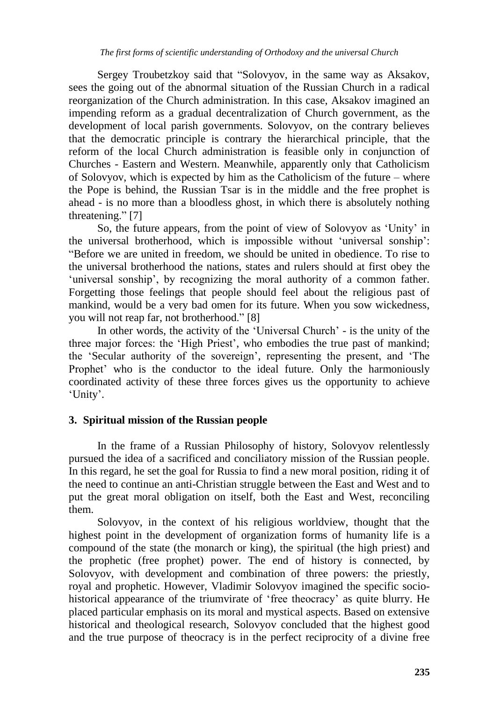Sergey Troubetzkoy said that "Solovyov, in the same way as Aksakov, sees the going out of the abnormal situation of the Russian Church in a radical reorganization of the Church administration. In this case, Aksakov imagined an impending reform as a gradual decentralization of Church government, as the development of local parish governments. Solovyov, on the contrary believes that the democratic principle is contrary the hierarchical principle, that the reform of the local Church administration is feasible only in conjunction of Churches - Eastern and Western. Meanwhile, apparently only that Catholicism of Solovyov, which is expected by him as the Catholicism of the future – where the Pope is behind, the Russian Tsar is in the middle and the free prophet is ahead - is no more than a bloodless ghost, in which there is absolutely nothing threatening." [7]

So, the future appears, from the point of view of Solovyov as "Unity" in the universal brotherhood, which is impossible without "universal sonship": "Before we are united in freedom, we should be united in obedience. To rise to the universal brotherhood the nations, states and rulers should at first obey the "universal sonship", by recognizing the moral authority of a common father. Forgetting those feelings that people should feel about the religious past of mankind, would be a very bad omen for its future. When you sow wickedness, you will not reap far, not brotherhood." [8]

In other words, the activity of the "Universal Church" - is the unity of the three major forces: the "High Priest", who embodies the true past of mankind; the "Secular authority of the sovereign", representing the present, and "The Prophet' who is the conductor to the ideal future. Only the harmoniously coordinated activity of these three forces gives us the opportunity to achieve 'Unity'.

## **3. Spiritual mission of the Russian people**

In the frame of a Russian Philosophy of history, Solovyov relentlessly pursued the idea of a sacrificed and conciliatory mission of the Russian people. In this regard, he set the goal for Russia to find a new moral position, riding it of the need to continue an anti-Christian struggle between the East and West and to put the great moral obligation on itself, both the East and West, reconciling them.

Solovyov, in the context of his religious worldview, thought that the highest point in the development of organization forms of humanity life is a compound of the state (the monarch or king), the spiritual (the high priest) and the prophetic (free prophet) power. The end of history is connected, by Solovyov, with development and combination of three powers: the priestly, royal and prophetic. However, Vladimir Solovyov imagined the specific sociohistorical appearance of the triumvirate of 'free theocracy' as quite blurry. He placed particular emphasis on its moral and mystical aspects. Based on extensive historical and theological research, Solovyov concluded that the highest good and the true purpose of theocracy is in the perfect reciprocity of a divine free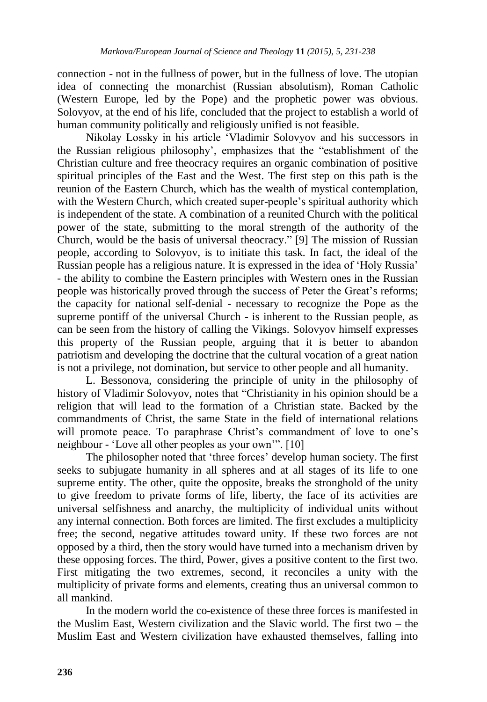connection - not in the fullness of power, but in the fullness of love. The utopian idea of connecting the monarchist (Russian absolutism), Roman Catholic (Western Europe, led by the Pope) and the prophetic power was obvious. Solovyov, at the end of his life, concluded that the project to establish a world of human community politically and religiously unified is not feasible.

Nikolay Lossky in his article "Vladimir Solovyov and his successors in the Russian religious philosophy", emphasizes that the "establishment of the Christian culture and free theocracy requires an organic combination of positive spiritual principles of the East and the West. The first step on this path is the reunion of the Eastern Church, which has the wealth of mystical contemplation, with the Western Church, which created super-people's spiritual authority which is independent of the state. A combination of a reunited Church with the political power of the state, submitting to the moral strength of the authority of the Church, would be the basis of universal theocracy." [9] The mission of Russian people, according to Solovyov, is to initiate this task. In fact, the ideal of the Russian people has a religious nature. It is expressed in the idea of "Holy Russia" - the ability to combine the Eastern principles with Western ones in the Russian people was historically proved through the success of Peter the Great"s reforms; the capacity for national self-denial - necessary to recognize the Pope as the supreme pontiff of the universal Church - is inherent to the Russian people, as can be seen from the history of calling the Vikings. Solovyov himself expresses this property of the Russian people, arguing that it is better to abandon patriotism and developing the doctrine that the cultural vocation of a great nation is not a privilege, not domination, but service to other people and all humanity.

L. Bessonova, considering the principle of unity in the philosophy of history of Vladimir Solovyov, notes that "Christianity in his opinion should be a religion that will lead to the formation of a Christian state. Backed by the commandments of Christ, the same State in the field of international relations will promote peace. To paraphrase Christ's commandment of love to one's neighbour - "Love all other peoples as your own"". [10]

The philosopher noted that 'three forces' develop human society. The first seeks to subjugate humanity in all spheres and at all stages of its life to one supreme entity. The other, quite the opposite, breaks the stronghold of the unity to give freedom to private forms of life, liberty, the face of its activities are universal selfishness and anarchy, the multiplicity of individual units without any internal connection. Both forces are limited. The first excludes a multiplicity free; the second, negative attitudes toward unity. If these two forces are not opposed by a third, then the story would have turned into a mechanism driven by these opposing forces. The third, Power, gives a positive content to the first two. First mitigating the two extremes, second, it reconciles a unity with the multiplicity of private forms and elements, creating thus an universal common to all mankind.

In the modern world the co-existence of these three forces is manifested in the Muslim East, Western civilization and the Slavic world. The first two – the Muslim East and Western civilization have exhausted themselves, falling into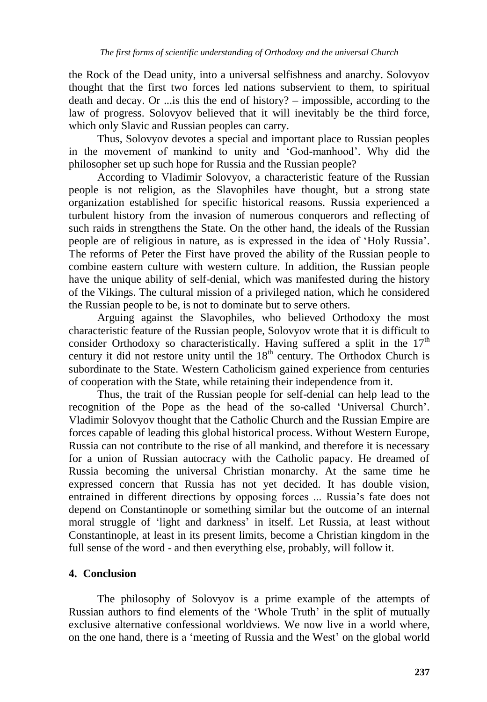the Rock of the Dead unity, into a universal selfishness and anarchy. Solovyov thought that the first two forces led nations subservient to them, to spiritual death and decay. Or ...is this the end of history? – impossible, according to the law of progress. Solovyov believed that it will inevitably be the third force, which only Slavic and Russian peoples can carry.

Thus, Solovyov devotes a special and important place to Russian peoples in the movement of mankind to unity and "God-manhood". Why did the philosopher set up such hope for Russia and the Russian people?

According to Vladimir Solovyov, a characteristic feature of the Russian people is not religion, as the Slavophiles have thought, but a strong state organization established for specific historical reasons. Russia experienced a turbulent history from the invasion of numerous conquerors and reflecting of such raids in strengthens the State. On the other hand, the ideals of the Russian people are of religious in nature, as is expressed in the idea of "Holy Russia". The reforms of Peter the First have proved the ability of the Russian people to combine eastern culture with western culture. In addition, the Russian people have the unique ability of self-denial, which was manifested during the history of the Vikings. The cultural mission of a privileged nation, which he considered the Russian people to be, is not to dominate but to serve others.

Arguing against the Slavophiles, who believed Orthodoxy the most characteristic feature of the Russian people, Solovyov wrote that it is difficult to consider Orthodoxy so characteristically. Having suffered a split in the  $17<sup>th</sup>$ century it did not restore unity until the  $18<sup>th</sup>$  century. The Orthodox Church is subordinate to the State. Western Catholicism gained experience from centuries of cooperation with the State, while retaining their independence from it.

Thus, the trait of the Russian people for self-denial can help lead to the recognition of the Pope as the head of the so-called "Universal Church". Vladimir Solovyov thought that the Catholic Church and the Russian Empire are forces capable of leading this global historical process. Without Western Europe, Russia can not contribute to the rise of all mankind, and therefore it is necessary for a union of Russian autocracy with the Catholic papacy. He dreamed of Russia becoming the universal Christian monarchy. At the same time he expressed concern that Russia has not yet decided. It has double vision, entrained in different directions by opposing forces ... Russia's fate does not depend on Constantinople or something similar but the outcome of an internal moral struggle of 'light and darkness' in itself. Let Russia, at least without Constantinople, at least in its present limits, become a Christian kingdom in the full sense of the word - and then everything else, probably, will follow it.

## **4. Conclusion**

The philosophy of Solovyov is a prime example of the attempts of Russian authors to find elements of the 'Whole Truth' in the split of mutually exclusive alternative confessional worldviews. We now live in a world where, on the one hand, there is a "meeting of Russia and the West" on the global world